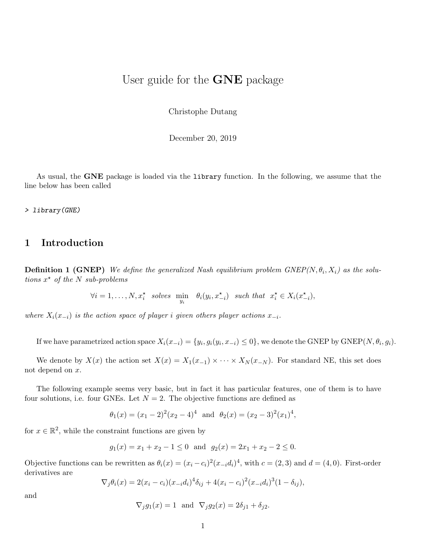## User guide for the **GNE** package

Christophe Dutang

December 20, 2019

As usual, the GNE package is loaded via the library function. In the following, we assume that the line below has been called

> library(GNE)

### 1 Introduction

**Definition 1 (GNEP)** We define the generalized Nash equilibrium problem  $GNEP(N, \theta_i, X_i)$  as the solutions  $x^*$  of the N sub-problems

 $\forall i = 1, \ldots, N, x_i^*$  solves  $\min_{y_i} \theta_i(y_i, x_{-i}^*)$  such that  $x_i^* \in X_i(x_{-i}^*),$ 

where  $X_i(x_{-i})$  is the action space of player i given others player actions  $x_{-i}$ .

If we have parametrized action space  $X_i(x_{-i}) = \{y_i, g_i(y_i, x_{-i}) \leq 0\}$ , we denote the GNEP by GNEP( $N, \theta_i, g_i$ ).

We denote by  $X(x)$  the action set  $X(x) = X_1(x_{-1}) \times \cdots \times X_N(x_{-N})$ . For standard NE, this set does not depend on x.

The following example seems very basic, but in fact it has particular features, one of them is to have four solutions, i.e. four GNEs. Let  $N = 2$ . The objective functions are defined as

 $\theta_1(x) = (x_1 - 2)^2 (x_2 - 4)^4$  and  $\theta_2(x) = (x_2 - 3)^2 (x_1)^4$ ,

for  $x \in \mathbb{R}^2$ , while the constraint functions are given by

$$
g_1(x) = x_1 + x_2 - 1 \le 0
$$
 and  $g_2(x) = 2x_1 + x_2 - 2 \le 0$ .

Objective functions can be rewritten as  $\theta_i(x) = (x_i - c_i)^2 (x_{-i} d_i)^4$ , with  $c = (2, 3)$  and  $d = (4, 0)$ . First-order derivatives are

$$
\nabla_j \theta_i(x) = 2(x_i - c_i)(x_{-i}d_i)^4 \delta_{ij} + 4(x_i - c_i)^2 (x_{-i}d_i)^3 (1 - \delta_{ij}),
$$

$$
\nabla_j g_1(x) = 1 \text{ and } \nabla_j g_2(x) = 2\delta_{j1} + \delta_{j2}.
$$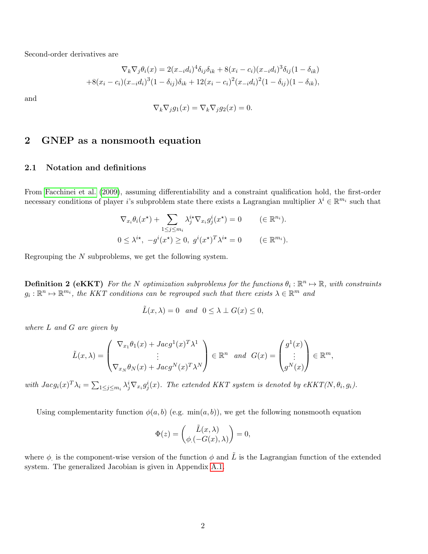Second-order derivatives are

$$
\nabla_k \nabla_j \theta_i(x) = 2(x_{-i}d_i)^4 \delta_{ij} \delta_{ik} + 8(x_i - c_i)(x_{-i}d_i)^3 \delta_{ij} (1 - \delta_{ik})
$$
  
+8(x<sub>i</sub> - c<sub>i</sub>)(x<sub>-i</sub>d<sub>i</sub>)<sup>3</sup>(1 - \delta\_{ij})\delta\_{ik} + 12(x\_i - c\_i)^2(x\_{-i}d\_i)^2(1 - \delta\_{ij})(1 - \delta\_{ik}),

and

$$
\nabla_k \nabla_j g_1(x) = \nabla_k \nabla_j g_2(x) = 0.
$$

# 2 GNEP as a nonsmooth equation

### 2.1 Notation and definitions

From [Facchinei et al.](#page-15-0) [\(2009\)](#page-15-0), assuming differentiability and a constraint qualification hold, the first-order necessary conditions of player i's subproblem state there exists a Lagrangian multiplier  $\lambda^i \in \mathbb{R}^{m_i}$  such that

$$
\nabla_{x_i} \theta_i(x^*) + \sum_{1 \le j \le m_i} \lambda_j^{i*} \nabla_{x_i} g_j^i(x^*) = 0 \qquad (\in \mathbb{R}^{n_i}).
$$
  

$$
0 \le \lambda^{i*}, \ -g^i(x^*) \ge 0, \ g^i(x^*)^T \lambda^{i*} = 0 \qquad (\in \mathbb{R}^{m_i}).
$$

Regrouping the N subproblems, we get the following system.

**Definition 2 (eKKT)** For the N optimization subproblems for the functions  $\theta_i : \mathbb{R}^n \to \mathbb{R}$ , with constraints  $g_i: \mathbb{R}^n \mapsto \mathbb{R}^{m_i}$ , the KKT conditions can be regrouped such that there exists  $\lambda \in \mathbb{R}^m$  and

$$
\tilde{L}(x,\lambda) = 0 \quad and \quad 0 \le \lambda \perp G(x) \le 0,
$$

where L and G are given by

$$
\tilde{L}(x,\lambda) = \begin{pmatrix} \nabla_{x_1} \theta_1(x) + Jacg^1(x)^T \lambda^1 \\ \vdots \\ \nabla_{x_N} \theta_N(x) + Jacg^N(x)^T \lambda^N \end{pmatrix} \in \mathbb{R}^n \text{ and } G(x) = \begin{pmatrix} g^1(x) \\ \vdots \\ g^N(x) \end{pmatrix} \in \mathbb{R}^m,
$$

with  $Jacg_i(x)^T \lambda_i = \sum_{1 \leq j \leq m_i} \lambda_j^i \nabla_{x_i} g_j^i(x)$ . The extended KKT system is denoted by eKKT(N,  $\theta_i$ ,  $g_i$ ).

Using complementarity function  $\phi(a, b)$  (e.g. min $(a, b)$ ), we get the following nonsmooth equation

$$
\Phi(z) = \begin{pmatrix} \tilde{L}(x,\lambda) \\ \phi(-G(x),\lambda) \end{pmatrix} = 0,
$$

where  $\phi$  is the component-wise version of the function  $\phi$  and  $\tilde{L}$  is the Lagrangian function of the extended system. The generalized Jacobian is given in Appendix [A.1.](#page-15-1)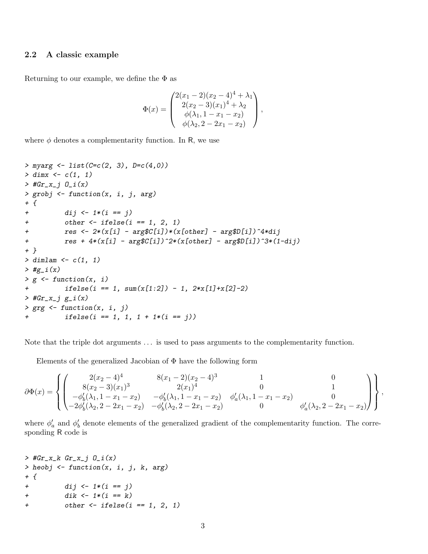### 2.2 A classic example

Returning to our example, we define the  $\Phi$  as

$$
\Phi(x) = \begin{pmatrix} 2(x_1 - 2)(x_2 - 4)^4 + \lambda_1 \\ 2(x_2 - 3)(x_1)^4 + \lambda_2 \\ \phi(\lambda_1, 1 - x_1 - x_2) \\ \phi(\lambda_2, 2 - 2x_1 - x_2) \end{pmatrix},
$$

where  $\phi$  denotes a complementarity function. In R, we use

```
> myarg <- list(C = c(2, 3), D = c(4, 0))
> dimx < -c(1, 1)> #Gr_x_j 0_i(x)> grobj <- function(x, i, j, arg)
+ {
+ dij <- 1*(i == j)
+ other \leq ifelse(i == 1, 2, 1)+ res <- 2*(x[i] - arg(C[i])*(x[other] - arg(D[i])^4*dij+ res + 4*(x[i] - arg$C[i])^2*(x[other] - arg$D[i])^3*(1-dij)+ }
> dimlam <- c(1, 1)
> #g_i(x)
> g \leftarrow function(x, i)+ ifelse(i == 1, sum(x[1:2]) - 1, 2*x[1]+x[2]-2)> #Gr_x_j g_i(x)
> grg \leftarrow function(x, i, j)
+ ifelse(i == 1, 1, 1 + 1*(i == j))
```
Note that the triple dot arguments ... is used to pass arguments to the complementarity function.

Elements of the generalized Jacobian of  $\Phi$  have the following form

$$
\partial \Phi(x) = \left\{ \begin{pmatrix} 2(x_2 - 4)^4 & 8(x_1 - 2)(x_2 - 4)^3 & 1 & 0 \\ 8(x_2 - 3)(x_1)^3 & 2(x_1)^4 & 0 & 1 \\ -\phi'_b(\lambda_1, 1 - x_1 - x_2) & -\phi'_b(\lambda_1, 1 - x_1 - x_2) & \phi'_a(\lambda_1, 1 - x_1 - x_2) & 0 \\ -2\phi'_b(\lambda_2, 2 - 2x_1 - x_2) & -\phi'_b(\lambda_2, 2 - 2x_1 - x_2) & 0 & \phi'_a(\lambda_2, 2 - 2x_1 - x_2) \end{pmatrix} \right\},
$$

where  $\phi'_a$  and  $\phi'_b$  denote elements of the generalized gradient of the complementarity function. The corresponding R code is

```
> #Gr_x_k Gr_x_j 0_i(x)> heobj \leq function(x, i, j, k, arg)
+ {
+ \frac{di}{i} \leftarrow 1 * (i == j)+ \frac{dik}{-1*(i == k)}+ other \leftarrow ifelse(i == 1, 2, 1)
```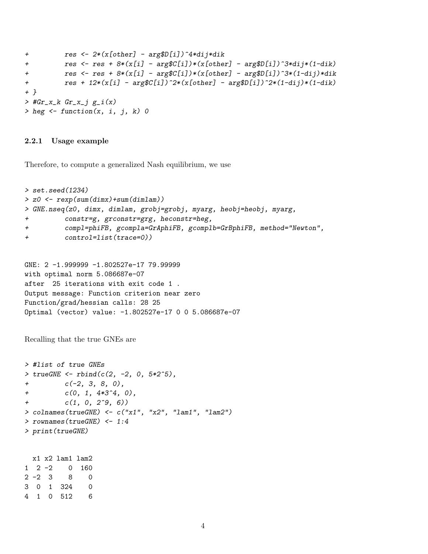```
+ res <- 2*(x[other] - arg$D[i])^4*dij*dik
+ res <- res + 8*(x[i] - arg*(i])*(x[other] - arg(D[i])^3*di*(1-dik))+ res <- res + 8*(x[i] - arg$C[i])*(x[other] - arg$D[i])^3*(1-dij)*dik+ res + 12*(x[i] - arg*(C[i])^2*(x[other] - arg(D[i])^2*(1-dij)*(1-dik))+ }
> #Gr_x_k Gr_x_j g_i(x)> heg \leq function(x, i, j, k) 0
```
#### 2.2.1 Usage example

Therefore, to compute a generalized Nash equilibrium, we use

```
> set.seed(1234)
> z0 <- rexp(sum(dimx)+sum(dimlam))
> GNE.nseq(z0, dimx, dimlam, grobj=grobj, myarg, heobj=heobj, myarg,
+ constr=g, grconstr=grg, heconstr=heg,
+ compl=phiFB, gcompla=GrAphiFB, gcomplb=GrBphiFB, method="Newton",
+ control=list(trace=0))
```

```
GNE: 2 -1.999999 -1.802527e-17 79.99999
with optimal norm 5.086687e-07
after 25 iterations with exit code 1 .
Output message: Function criterion near zero
Function/grad/hessian calls: 28 25
Optimal (vector) value: -1.802527e-17 0 0 5.086687e-07
```
Recalling that the true GNEs are

```
> #list of true GNEs
> true GNE \leq - \text{rbind}(c(2, -2, 0, 5*2^5)),+ c(-2, 3, 8, 0),
+ c(0, 1, 4*3^2, 0),
+ c(1, 0, 2^0, 6)> colnames(trueGNE) <- c("x1", "x2", "lam1", "lam2")
> rownames(trueGNE) <- 1:4
> print(trueGNE)
```
x1 x2 lam1 lam2 1 2 -2 0 160 2 -2 3 8 0 3 0 1 324 0 4 1 0 512 6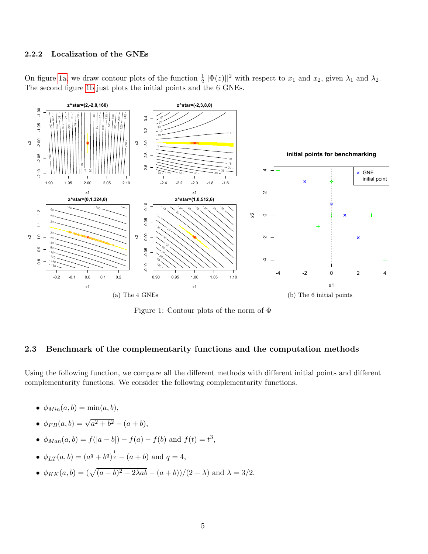### 2.2.2 Localization of the GNEs

On figure [1a,](#page-4-0) we draw contour plots of the function  $\frac{1}{2}||\Phi(z)||^2$  with respect to  $x_1$  and  $x_2$ , given  $\lambda_1$  and  $\lambda_2$ . The second figure [1b](#page-4-1) just plots the initial points and the 6 GNEs.

<span id="page-4-0"></span>

<span id="page-4-1"></span>Figure 1: Contour plots of the norm of Φ

### 2.3 Benchmark of the complementarity functions and the computation methods

Using the following function, we compare all the different methods with different initial points and different complementarity functions. We consider the following complementarity functions.

- $\bullet$   $\phi_{Min}(a, b) = \min(a, b),$
- $\phi_{FB}(a, b) = \sqrt{a^2 + b^2} (a + b),$
- $\phi_{Man}(a, b) = f(|a b|) f(a) f(b)$  and  $f(t) = t^3$ ,
- $\phi_{LT}(a, b) = (a^q + b^q)^{\frac{1}{q}} (a + b)$  and  $q = 4$ ,
- $\phi_{KK}(a, b) = (\sqrt{(a b)^2 + 2\lambda ab} (a + b))/(2 \lambda)$  and  $\lambda = 3/2$ .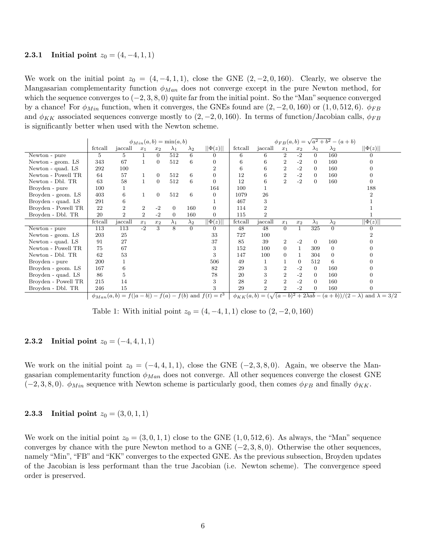#### 2.3.1 Initial point  $z_0 = (4, -4, 1, 1)$

We work on the initial point  $z_0 = (4, -4, 1, 1)$ , close the GNE  $(2, -2, 0, 160)$ . Clearly, we observe the Mangasarian complementarity function  $\phi_{Man}$  does not converge except in the pure Newton method, for which the sequence converges to  $(-2, 3, 8, 0)$  quite far from the initial point. So the "Man" sequence converged by a chance! For  $\phi_{Min}$  function, when it converges, the GNEs found are  $(2, -2, 0, 160)$  or  $(1, 0, 512, 6)$ .  $\phi_{FB}$ and  $\phi_{KK}$  associated sequences converge mostly to (2, -2, 0, 160). In terms of function/Jacobian calls,  $\phi_{FB}$ is significantly better when used with the Newton scheme.

|                     |         |                |                |                | $\phi_{Min}(a,b) = \min(a,b)$ |             |                                                             |         |                |                |                    |                | $\phi_{FB}(a, b) = \sqrt{a^2 + b^2} - (a + b)$ |                                                                                           |
|---------------------|---------|----------------|----------------|----------------|-------------------------------|-------------|-------------------------------------------------------------|---------|----------------|----------------|--------------------|----------------|------------------------------------------------|-------------------------------------------------------------------------------------------|
|                     | fctcall | jaccall        | $x_1$          | $x_2$          | $\lambda_1$                   | $\lambda_2$ | $  \Phi(z)  $                                               | fctcall | jaccall        | $x_1$          | $\boldsymbol{x}_2$ | $\lambda_1$    | $\lambda_2$                                    | $  \Phi(z)  $                                                                             |
| Newton - pure       | 5       | 5.             |                | $\Omega$       | 512                           | 6           | $\Omega$                                                    | 6       | 6              | $\overline{2}$ | $-2$               | $\Omega$       | 160                                            |                                                                                           |
| Newton - geom. LS   | 343     | 67             |                | $\overline{0}$ | 512                           | 6           |                                                             | 6       | 6              | $\overline{2}$ | $-2$               | $\overline{0}$ | 160                                            |                                                                                           |
| Newton - quad. LS   | 292     | 100            |                |                |                               |             |                                                             | 6       | 6              | $\overline{2}$ | $-2$               | $\overline{0}$ | 160                                            |                                                                                           |
| Newton - Powell TR  | 64      | 57             |                | $\overline{0}$ | 512                           | 6           |                                                             | 12      | 6              | $\overline{2}$ | $-2$               | $\Omega$       | 160                                            |                                                                                           |
| Newton - Dbl. TR    | 63      | 58             |                | $\overline{0}$ | 512                           | 6           |                                                             | 12      | 6              | $\overline{2}$ | $-2$               | $\overline{0}$ | 160                                            |                                                                                           |
| Broyden - pure      | 100     |                |                |                |                               |             | 164                                                         | 100     |                |                |                    |                |                                                | 188                                                                                       |
| Broyden - geom. LS  | 403     | 6              |                | $\overline{0}$ | 512                           | 6           | $\Omega$                                                    | 1079    | 26             |                |                    |                |                                                |                                                                                           |
| Broyden - quad. LS  | 291     | 6              |                |                |                               |             |                                                             | 467     | 3              |                |                    |                |                                                |                                                                                           |
| Broyden - Powell TR | 22      | 2              | $\overline{2}$ | $-2$           | $\overline{0}$                | 160         | $\Omega$                                                    | 114     | $\overline{2}$ |                |                    |                |                                                |                                                                                           |
| Broyden - Dbl. TR   | 20      | $\overline{2}$ | $\overline{2}$ | $-2$           | $\Omega$                      | 160         | $\overline{0}$                                              | 115     | $\overline{2}$ |                |                    |                |                                                |                                                                                           |
|                     | fctcall | jaccall        | $x_1$          | $x_2$          | $\lambda_1$                   | $\lambda_2$ | $\  \Phi(z) \ $                                             | fctcall | jaccall        | $x_1$          | $x_2$              | $\lambda_1$    | $\lambda_2$                                    | $  \Phi(z)  $                                                                             |
| Newton - pure       | 113     | 113            | $-2$           | 3              | 8                             | $\Omega$    | $\Omega$                                                    | 48      | 48             | $\Omega$       | $\mathbf{1}$       | 325            | $\Omega$                                       |                                                                                           |
| Newton - geom. LS   | 203     | 25             |                |                |                               |             | 33                                                          | 727     | 100            |                |                    |                |                                                |                                                                                           |
| Newton - quad. LS   | 91      | 27             |                |                |                               |             | 37                                                          | 85      | 39             | $\overline{2}$ | $-2$               | $\overline{0}$ | 160                                            |                                                                                           |
| Newton - Powell TR  | 75      | 67             |                |                |                               |             | 3                                                           | 152     | 100            | $\Omega$       |                    | 309            | $\Omega$                                       |                                                                                           |
| Newton - Dbl. TR    | 62      | 53             |                |                |                               |             | 3                                                           | 147     | 100            | $\Omega$       |                    | 304            | $\Omega$                                       |                                                                                           |
| Broyden - pure      | 200     |                |                |                |                               |             | 506                                                         | 49      |                |                | $\theta$           | 512            | 6                                              |                                                                                           |
| Broyden - geom. LS  | 167     | 6              |                |                |                               |             | 82                                                          | 29      | 3              | $\overline{2}$ | $-2$               | $\overline{0}$ | 160                                            |                                                                                           |
| Broyden - quad. LS  | 86      | 5.             |                |                |                               |             | 78                                                          | 20      | 3              | $\overline{2}$ | $-2$               | $\overline{0}$ | 160                                            |                                                                                           |
| Broyden - Powell TR | 215     | 14             |                |                |                               |             | 3                                                           | 28      | $\overline{2}$ | $\overline{2}$ | $-2$               | $\Omega$       | 160                                            |                                                                                           |
| Broyden - Dbl. TR   | 246     | 15             |                |                |                               |             | 3                                                           | 29      | $\overline{2}$ | $\overline{2}$ | $-2$               | $\overline{0}$ | 160                                            |                                                                                           |
|                     |         |                |                |                |                               |             | $\phi_{Man}(a,b) = f( a-b ) - f(a) - f(b)$ and $f(t) = t^3$ |         |                |                |                    |                |                                                | $\phi_{KK}(a,b) = (\sqrt{(a-b)^2 + 2\lambda ab} - (a+b))/(2-\lambda)$ and $\lambda = 3/2$ |

Table 1: With initial point  $z_0 = (4, -4, 1, 1)$  close to  $(2, -2, 0, 160)$ 

### 2.3.2 Initial point  $z_0 = (-4, 4, 1, 1)$

We work on the initial point  $z_0 = (-4, 4, 1, 1)$ , close the GNE  $(-2, 3, 8, 0)$ . Again, we observe the Mangasarian complementarity function  $\phi_{Man}$  does not converge. All other sequences converge the closest GNE  $(-2, 3, 8, 0)$ .  $\phi_{Min}$  sequence with Newton scheme is particularly good, then comes  $\phi_{FB}$  and finally  $\phi_{KK}$ .

### **2.3.3** Initial point  $z_0 = (3, 0, 1, 1)$

We work on the initial point  $z_0 = (3, 0, 1, 1)$  close to the GNE  $(1, 0, 512, 6)$ . As always, the "Man" sequence converges by chance with the pure Newton method to a GNE  $(-2, 3, 8, 0)$ . Otherwise the other sequences, namely "Min", "FB" and "KK" converges to the expected GNE. As the previous subsection, Broyden updates of the Jacobian is less performant than the true Jacobian (i.e. Newton scheme). The convergence speed order is preserved.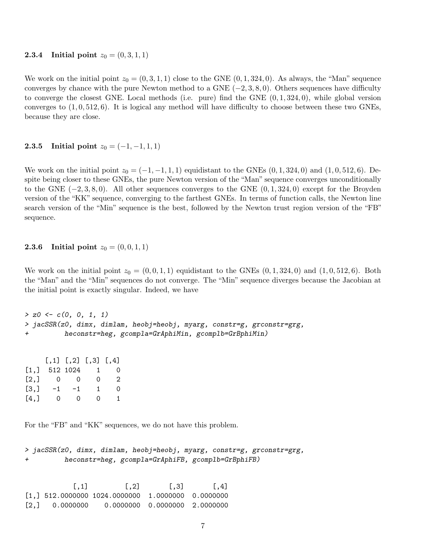#### **2.3.4** Initial point  $z_0 = (0, 3, 1, 1)$

We work on the initial point  $z_0 = (0, 3, 1, 1)$  close to the GNE  $(0, 1, 324, 0)$ . As always, the "Man" sequence converges by chance with the pure Newton method to a GNE  $(-2, 3, 8, 0)$ . Others sequences have difficulty to converge the closest GNE. Local methods (i.e. pure) find the GNE  $(0, 1, 324, 0)$ , while global version converges to  $(1, 0, 512, 6)$ . It is logical any method will have difficulty to choose between these two GNEs, because they are close.

### 2.3.5 Initial point  $z_0 = (-1, -1, 1, 1)$

We work on the initial point  $z_0 = (-1, -1, 1, 1)$  equidistant to the GNEs  $(0, 1, 324, 0)$  and  $(1, 0, 512, 6)$ . Despite being closer to these GNEs, the pure Newton version of the "Man" sequence converges unconditionally to the GNE  $(-2, 3, 8, 0)$ . All other sequences converges to the GNE  $(0, 1, 324, 0)$  except for the Broyden version of the "KK" sequence, converging to the farthest GNEs. In terms of function calls, the Newton line search version of the "Min" sequence is the best, followed by the Newton trust region version of the "FB" sequence.

#### **2.3.6** Initial point  $z_0 = (0, 0, 1, 1)$

We work on the initial point  $z_0 = (0, 0, 1, 1)$  equidistant to the GNEs  $(0, 1, 324, 0)$  and  $(1, 0, 512, 6)$ . Both the "Man" and the "Min" sequences do not converge. The "Min" sequence diverges because the Jacobian at the initial point is exactly singular. Indeed, we have

```
> z0 \leq c(0, 0, 1, 1)> jacSSR(z0, dimx, dimlam, heobj=heobj, myarg, constr=g, grconstr=grg,
+ heconstr=heg, gcompla=GrAphiMin, gcomplb=GrBphiMin)
```

|                           |     | $[,1]$ $[,2]$ $[,3]$ $[,4]$ |    |                             |
|---------------------------|-----|-----------------------------|----|-----------------------------|
| $\lceil 1 \, . \, \rceil$ |     | 512 1024                    | ı  | $\Omega$                    |
| [2,]                      | . O | - ()                        | Ω  | $\mathcal{D}_{\mathcal{L}}$ |
| [3,]                      | -1  | -1                          | 1. | 0                           |
| [4.1                      | 0   | $\mathcal{O}$               | 0  | 1.                          |

For the "FB" and "KK" sequences, we do not have this problem.

```
> jacSSR(z0, dimx, dimlam, heobj=heobj, myarg, constr=g, grconstr=grg,
+ heconstr=heg, gcompla=GrAphiFB, gcomplb=GrBphiFB)
```
 $[$ ,1]  $[$ ,2]  $[$ ,3]  $[$ ,4] [1,] 512.0000000 1024.0000000 1.0000000 0.0000000  $[2,]$  0.0000000 0.0000000 0.0000000 2.0000000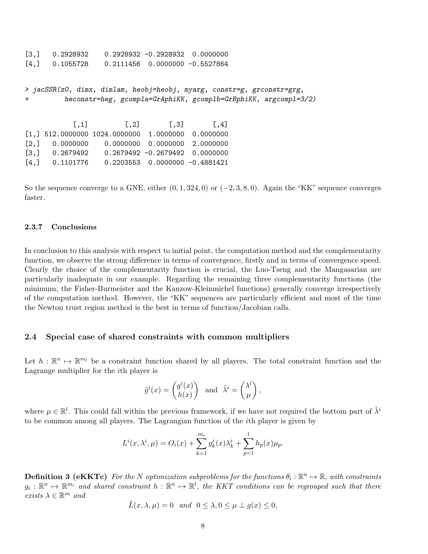[3,] 0.2928932 0.2928932 -0.2928932 0.0000000  $[4,]$  0.1055728 0.2111456 0.0000000 -0.5527864

> jacSSR(z0, dimx, dimlam, heobj=heobj, myarg, constr=g, grconstr=grg, + heconstr=heg, gcompla=GrAphiKK, gcomplb=GrBphiKK, argcompl=3/2)

 $[$ ,1]  $[$ ,2]  $[$ ,3]  $[$ ,4] [1,] 512.0000000 1024.0000000 1.0000000 0.0000000  $[2,]$  0.0000000 0.0000000 0.0000000 2.0000000 [3,] 0.2679492 0.2679492 -0.2679492 0.0000000  $[4,]$  0.1101776 0.2203553 0.0000000 -0.4881421

So the sequence converge to a GNE, either  $(0, 1, 324, 0)$  or  $(-2, 3, 8, 0)$ . Again the "KK" sequence converges faster.

### 2.3.7 Conclusions

In conclusion to this analysis with respect to initial point, the computation method and the complementarity function, we observe the strong difference in terms of convergence, firstly and in terms of convergence speed. Clearly the choice of the complementarity function is crucial, the Luo-Tseng and the Mangasarian are particularly inadequate in our example. Regarding the remaining three complementarity functions (the minimum, the Fisher-Burmeister and the Kanzow-Kleinmichel functions) generally converge irrespectively of the computation method. However, the "KK" sequences are particularly efficient and most of the time the Newton trust region method is the best in terms of function/Jacobian calls.

### 2.4 Special case of shared constraints with common multipliers

Let  $h: \mathbb{R}^n \mapsto \mathbb{R}^{m_l}$  be a constraint function shared by all players. The total constraint function and the Lagrange multiplier for the ith player is

$$
\tilde{g}^{i}(x) = \begin{pmatrix} g^{i}(x) \\ h(x) \end{pmatrix}
$$
 and  $\tilde{\lambda}^{i} = \begin{pmatrix} \lambda^{i} \\ \mu \end{pmatrix}$ ,

where  $\mu \in \mathbb{R}^l$ . This could fall within the previous framework, if we have not required the bottom part of  $\tilde{\lambda}^i$ to be common among all players. The Lagrangian function of the ith player is given by

$$
L^{i}(x, \lambda^{i}, \mu) = O_{i}(x) + \sum_{k=1}^{m_{i}} g_{k}^{i}(x) \lambda_{k}^{i} + \sum_{p=1}^{l} h_{p}(x) \mu_{p}.
$$

**Definition 3 (eKKTc)** For the N optimization subproblems for the functions  $\theta_i : \mathbb{R}^n \mapsto \mathbb{R}$ , with constraints  $g_i: \mathbb{R}^n \mapsto \mathbb{R}^{m_i}$  and shared constraint  $h: \mathbb{R}^n \mapsto \mathbb{R}^l$ , the KKT conditions can be regrouped such that there exists  $\lambda \in \mathbb{R}^m$  and

$$
\bar{L}(x,\lambda,\mu) = 0 \quad and \quad 0 \le \lambda, 0 \le \mu \perp g(x) \le 0,
$$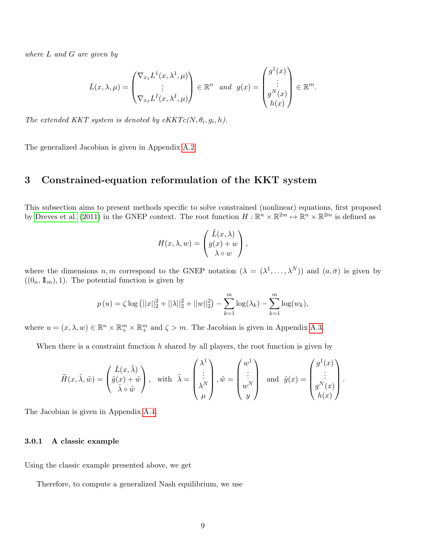where L and G are given by

$$
\bar{L}(x,\lambda,\mu) = \begin{pmatrix} \nabla_{x_1} L^1(x,\lambda^1,\mu) \\ \vdots \\ \nabla_{x_I} L^I(x,\lambda^I,\mu) \end{pmatrix} \in \mathbb{R}^n \text{ and } g(x) = \begin{pmatrix} g^1(x) \\ \vdots \\ g^N(x) \\ h(x) \end{pmatrix} \in \mathbb{R}^m.
$$

The extended KKT system is denoted by  $eKKTc(N, \theta_i, g_i, h)$ .

The generalized Jacobian is given in Appendix [A.2.](#page-16-0)

### 3 Constrained-equation reformulation of the KKT system

This subsection aims to present methods specific to solve constrained (nonlinear) equations, first proposed by [Dreves et al.](#page-15-2) [\(2011\)](#page-15-2) in the GNEP context. The root function  $H: \mathbb{R}^n \times \mathbb{R}^{2m} \mapsto \mathbb{R}^n \times \mathbb{R}^{2m}$  is defined as

$$
H(x, \lambda, w) = \begin{pmatrix} \tilde{L}(x, \lambda) \\ g(x) + w \\ \lambda \circ w \end{pmatrix},
$$

where the dimensions  $n, m$  correspond to the GNEP notation  $(\lambda = (\lambda^1, \dots, \lambda^N))$  and  $(a, \bar{\sigma})$  is given by  $((0_n, \mathbb{1}_m), 1)$ . The potential function is given by

$$
p(u) = \zeta \log (||x||_2^2 + ||\lambda||_2^2 + ||w||_2^2) - \sum_{k=1}^m \log(\lambda_k) - \sum_{k=1}^m \log(w_k),
$$

where  $u = (x, \lambda, w) \in \mathbb{R}^n \times \mathbb{R}^m_+ \times \mathbb{R}^m_+$  and  $\zeta > m$ . The Jacobian is given in Appendix [A.3.](#page-16-1)

When there is a constraint function  $h$  shared by all players, the root function is given by

$$
\widetilde{H}(x,\widetilde{\lambda},\widetilde{w}) = \begin{pmatrix} \bar{L}(x,\widetilde{\lambda}) \\ \tilde{g}(x) + \widetilde{w} \\ \tilde{\lambda} \circ \widetilde{w} \end{pmatrix}, \text{ with } \widetilde{\lambda} = \begin{pmatrix} \lambda^1 \\ \vdots \\ \lambda^N \\ \mu \end{pmatrix}, \widetilde{w} = \begin{pmatrix} w^1 \\ \vdots \\ w^N \\ y \end{pmatrix} \text{ and } \widetilde{g}(x) = \begin{pmatrix} g^1(x) \\ \vdots \\ g^N(x) \\ h(x) \end{pmatrix}.
$$

The Jacobian is given in Appendix [A.4.](#page-17-0)

#### 3.0.1 A classic example

Using the classic example presented above, we get

Therefore, to compute a generalized Nash equilibrium, we use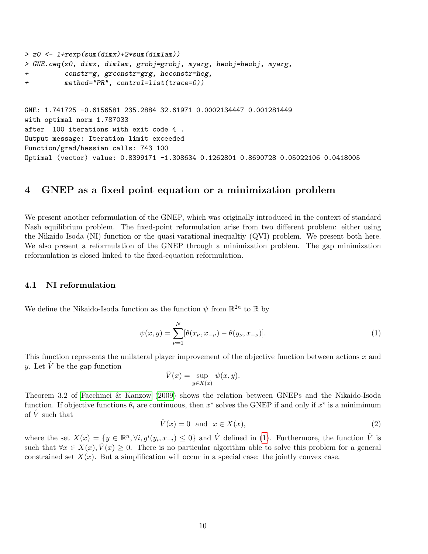```
> z0 <- 1+rexp(sum(dimx)+2*sum(dimlam))
> GNE.ceq(z0, dimx, dimlam, grobj=grobj, myarg, heobj=heobj, myarg,
+ constr=g, grconstr=grg, heconstr=heg,
+ method="PR", control=list(trace=0))
GNE: 1.741725 -0.6156581 235.2884 32.61971 0.0002134447 0.001281449
with optimal norm 1.787033
after 100 iterations with exit code 4 .
Output message: Iteration limit exceeded
Function/grad/hessian calls: 743 100
Optimal (vector) value: 0.8399171 -1.308634 0.1262801 0.8690728 0.05022106 0.0418005
```
### 4 GNEP as a fixed point equation or a minimization problem

We present another reformulation of the GNEP, which was originally introduced in the context of standard Nash equilibrium problem. The fixed-point reformulation arise from two different problem: either using the Nikaido-Isoda (NI) function or the quasi-varational inequaltiy (QVI) problem. We present both here. We also present a reformulation of the GNEP through a minimization problem. The gap minimization reformulation is closed linked to the fixed-equation reformulation.

### 4.1 NI reformulation

We define the Nikaido-Isoda function as the function  $\psi$  from  $\mathbb{R}^{2n}$  to  $\mathbb R$  by

<span id="page-9-0"></span>
$$
\psi(x,y) = \sum_{\nu=1}^{N} [\theta(x_{\nu}, x_{-\nu}) - \theta(y_{\nu}, x_{-\nu})].
$$
\n(1)

This function represents the unilateral player improvement of the objective function between actions x and y. Let  $\hat{V}$  be the gap function

$$
\hat{V}(x) = \sup_{y \in X(x)} \psi(x, y).
$$

Theorem 3.2 of [Facchinei & Kanzow](#page-15-3) [\(2009\)](#page-15-3) shows the relation between GNEPs and the Nikaido-Isoda function. If objective functions  $\theta_i$  are continuous, then  $x^*$  solves the GNEP if and only if  $x^*$  is a minimimum of  $\overline{V}$  such that

$$
\hat{V}(x) = 0 \quad \text{and} \quad x \in X(x),\tag{2}
$$

where the set  $X(x) = \{y \in \mathbb{R}^n, \forall i, g^i(y_i, x_{-i}) \leq 0\}$  and  $\hat{V}$  defined in [\(1\)](#page-9-0). Furthermore, the function  $\hat{V}$  is such that  $\forall x \in X(x), \hat{V}(x) \geq 0$ . There is no particular algorithm able to solve this problem for a general constrained set  $X(x)$ . But a simplification will occur in a special case: the jointly convex case.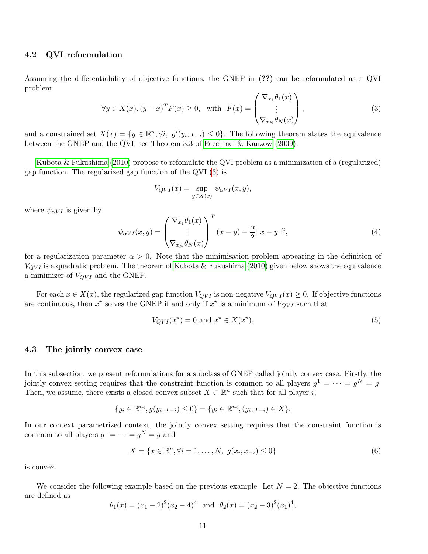### 4.2 QVI reformulation

Assuming the differentiability of objective functions, the GNEP in (??) can be reformulated as a QVI problem

<span id="page-10-0"></span>
$$
\forall y \in X(x), (y - x)^T F(x) \ge 0, \text{ with } F(x) = \begin{pmatrix} \nabla_{x_1} \theta_1(x) \\ \vdots \\ \nabla_{x_N} \theta_N(x) \end{pmatrix},
$$
\n(3)

and a constrained set  $X(x) = \{y \in \mathbb{R}^n, \forall i, g^i(y_i, x_{-i}) \leq 0\}$ . The following theorem states the equivalence between the GNEP and the QVI, see Theorem 3.3 of [Facchinei & Kanzow](#page-15-3) [\(2009\)](#page-15-3).

[Kubota & Fukushima](#page-15-4) [\(2010\)](#page-15-4) propose to refomulate the QVI problem as a minimization of a (regularized) gap function. The regularized gap function of the QVI [\(3\)](#page-10-0) is

$$
V_{QVI}(x) = \sup_{y \in X(x)} \psi_{\alpha VI}(x, y),
$$

where  $\psi_{\alpha V I}$  is given by

<span id="page-10-2"></span>
$$
\psi_{\alpha VI}(x,y) = \begin{pmatrix} \nabla_{x_1} \theta_1(x) \\ \vdots \\ \nabla_{x_N} \theta_N(x) \end{pmatrix}^T (x-y) - \frac{\alpha}{2} ||x-y||^2,
$$
\n(4)

for a regularization parameter  $\alpha > 0$ . Note that the minimisation problem appearing in the definition of  $V_{QVI}$  is a quadratic problem. The theorem of [Kubota & Fukushima](#page-15-4) [\(2010\)](#page-15-4) given below shows the equivalence a minimizer of  $V_{QVI}$  and the GNEP.

For each  $x \in X(x)$ , the regularized gap function  $V_{QVI}$  is non-negative  $V_{QVI}(x) \geq 0$ . If objective functions are continuous, then  $x^*$  solves the GNEP if and only if  $x^*$  is a minimum of  $V_{QVI}$  such that

<span id="page-10-3"></span>
$$
V_{QVI}(x^*) = 0 \text{ and } x^* \in X(x^*). \tag{5}
$$

#### 4.3 The jointly convex case

In this subsection, we present reformulations for a subclass of GNEP called jointly convex case. Firstly, the jointly convex setting requires that the constraint function is common to all players  $g^1 = \cdots = g^N = g$ . Then, we assume, there exists a closed convex subset  $X \subset \mathbb{R}^n$  such that for all player i,

$$
\{y_i \in \mathbb{R}^{n_i}, g(y_i, x_{-i}) \le 0\} = \{y_i \in \mathbb{R}^{n_i}, (y_i, x_{-i}) \in X\}.
$$

In our context parametrized context, the jointly convex setting requires that the constraint function is common to all players  $g^1 = \cdots = g^N = g$  and

<span id="page-10-1"></span>
$$
X = \{x \in \mathbb{R}^n, \forall i = 1, \dots, N, \ g(x_i, x_{-i}) \le 0\}
$$
\n(6)

is convex.

We consider the following example based on the previous example. Let  $N = 2$ . The objective functions are defined as

$$
\theta_1(x) = (x_1 - 2)^2 (x_2 - 4)^4
$$
 and  $\theta_2(x) = (x_2 - 3)^2 (x_1)^4$ ,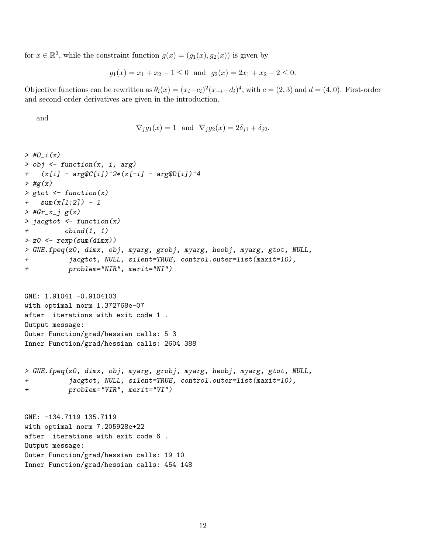for  $x \in \mathbb{R}^2$ , while the constraint function  $g(x) = (g_1(x), g_2(x))$  is given by

$$
g_1(x) = x_1 + x_2 - 1 \le 0
$$
 and  $g_2(x) = 2x_1 + x_2 - 2 \le 0$ .

Objective functions can be rewritten as  $\theta_i(x) = (x_i - c_i)^2 (x_{-i} - d_i)^4$ , with  $c = (2, 3)$  and  $d = (4, 0)$ . First-order and second-order derivatives are given in the introduction.

and

$$
\nabla_j g_1(x) = 1 \quad \text{and} \quad \nabla_j g_2(x) = 2\delta_{j1} + \delta_{j2}.
$$

```
> #0 i(x)> obj <- function(x, i, arg)
+ (x[i] - arg(C[i])^2*(x[-i] - argD[i])^4\rightarrow #g(x)
> gtot \leq function(x)
+ sum(x[1:2]) - 1> #Gr_x_j g(x)
> jacgtot <- function(x)
+ cbind(1, 1)
> z0 <- rexp(sum(dimx))
> GNE.fpeq(z0, dimx, obj, myarg, grobj, myarg, heobj, myarg, gtot, NULL,
+ jacgtot, NULL, silent=TRUE, control.outer=list(maxit=10),
+ problem="NIR", merit="NI")
```

```
GNE: 1.91041 -0.9104103
with optimal norm 1.372768e-07
after iterations with exit code 1 .
Output message:
Outer Function/grad/hessian calls: 5 3
Inner Function/grad/hessian calls: 2604 388
```

```
> GNE.fpeq(z0, dimx, obj, myarg, grobj, myarg, heobj, myarg, gtot, NULL,
+ jacgtot, NULL, silent=TRUE, control.outer=list(maxit=10),
+ problem="VIR", merit="VI")
```
GNE: -134.7119 135.7119 with optimal norm 7.205928e+22 after iterations with exit code 6 . Output message: Outer Function/grad/hessian calls: 19 10 Inner Function/grad/hessian calls: 454 148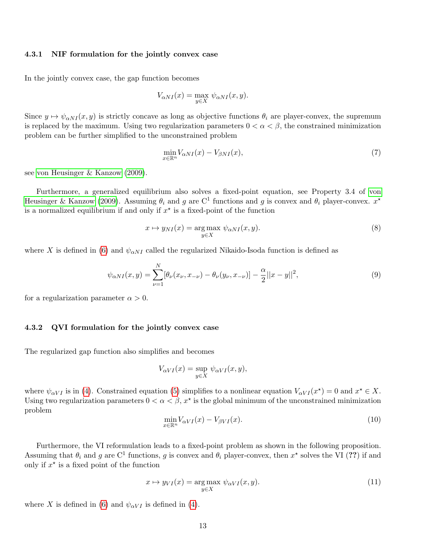### 4.3.1 NIF formulation for the jointly convex case

In the jointly convex case, the gap function becomes

$$
V_{\alpha NI}(x) = \max_{y \in X} \psi_{\alpha NI}(x, y).
$$

Since  $y \mapsto \psi_{\alpha NI}(x, y)$  is strictly concave as long as objective functions  $\theta_i$  are player-convex, the supremum is replaced by the maximum. Using two regularization parameters  $0 < \alpha < \beta$ , the constrained minimization problem can be further simplified to the unconstrained problem

$$
\min_{x \in \mathbb{R}^n} V_{\alpha NI}(x) - V_{\beta NI}(x),\tag{7}
$$

see [von Heusinger & Kanzow](#page-15-5) [\(2009\)](#page-15-5).

Furthermore, a generalized equilibrium also solves a fixed-point equation, see Property 3.4 of [von](#page-15-5) [Heusinger & Kanzow](#page-15-5) [\(2009\)](#page-15-5). Assuming  $\theta_i$  and g are C<sup>1</sup> functions and g is convex and  $\theta_i$  player-convex.  $x^*$ is a normalized equilibrium if and only if  $x^*$  is a fixed-point of the function

$$
x \mapsto y_{NI}(x) = \underset{y \in X}{\text{arg max}} \ \psi_{\alpha NI}(x, y). \tag{8}
$$

where X is defined in [\(6\)](#page-10-1) and  $\psi_{\alpha NI}$  called the regularized Nikaido-Isoda function is defined as

$$
\psi_{\alpha NI}(x,y) = \sum_{\nu=1}^{N} [\theta_{\nu}(x_{\nu}, x_{-\nu}) - \theta_{\nu}(y_{\nu}, x_{-\nu})] - \frac{\alpha}{2} ||x - y||^2,
$$
\n(9)

for a regularization parameter  $\alpha > 0$ .

### 4.3.2 QVI formulation for the jointly convex case

The regularized gap function also simplifies and becomes

$$
V_{\alpha VI}(x) = \sup_{y \in X} \psi_{\alpha VI}(x, y),
$$

where  $\psi_{\alpha VI}$  is in [\(4\)](#page-10-2). Constrained equation [\(5\)](#page-10-3) simplifies to a nonlinear equation  $V_{\alpha VI}(x^*)=0$  and  $x^* \in X$ . Using two regularization parameters  $0 < \alpha < \beta$ ,  $x^*$  is the global minimum of the unconstrained minimization problem

$$
\min_{x \in \mathbb{R}^n} V_{\alpha VI}(x) - V_{\beta VI}(x). \tag{10}
$$

Furthermore, the VI reformulation leads to a fixed-point problem as shown in the following proposition. Assuming that  $\theta_i$  and g are C<sup>1</sup> functions, g is convex and  $\theta_i$  player-convex, then  $x^*$  solves the VI (??) if and only if  $x^*$  is a fixed point of the function

$$
x \mapsto y_{VI}(x) = \underset{y \in X}{\text{arg max}} \ \psi_{\alpha VI}(x, y). \tag{11}
$$

where X is defined in [\(6\)](#page-10-1) and  $\psi_{\alpha VI}$  is defined in [\(4\)](#page-10-2).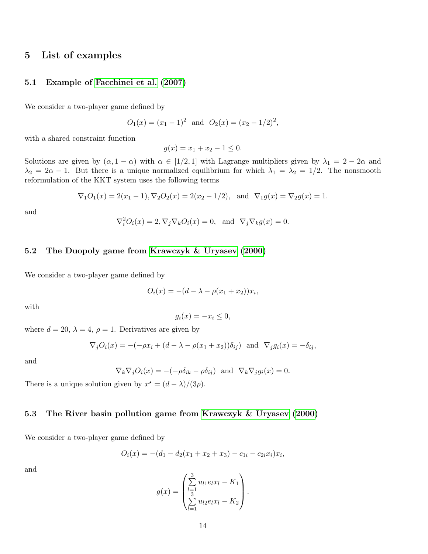### 5 List of examples

### 5.1 Example of [Facchinei et al.](#page-15-6) [\(2007\)](#page-15-6)

We consider a two-player game defined by

$$
O_1(x) = (x_1 - 1)^2
$$
 and  $O_2(x) = (x_2 - 1/2)^2$ ,

with a shared constraint function

$$
g(x) = x_1 + x_2 - 1 \le 0.
$$

Solutions are given by  $(\alpha, 1 - \alpha)$  with  $\alpha \in [1/2, 1]$  with Lagrange multipliers given by  $\lambda_1 = 2 - 2\alpha$  and  $\lambda_2 = 2\alpha - 1$ . But there is a unique normalized equilibrium for which  $\lambda_1 = \lambda_2 = 1/2$ . The nonsmooth reformulation of the KKT system uses the following terms

$$
\nabla_1 O_1(x) = 2(x_1 - 1), \nabla_2 O_2(x) = 2(x_2 - 1/2), \text{ and } \nabla_1 g(x) = \nabla_2 g(x) = 1.
$$

and

$$
\nabla_i^2 O_i(x) = 2, \nabla_j \nabla_k O_i(x) = 0, \text{ and } \nabla_j \nabla_k g(x) = 0.
$$

### 5.2 The Duopoly game from [Krawczyk & Uryasev](#page-15-7) [\(2000\)](#page-15-7)

We consider a two-player game defined by

$$
O_i(x) = -(d - \lambda - \rho(x_1 + x_2))x_i,
$$

with

$$
g_i(x) = -x_i \le 0,
$$

where  $d = 20$ ,  $\lambda = 4$ ,  $\rho = 1$ . Derivatives are given by

$$
\nabla_j O_i(x) = -(-\rho x_i + (d - \lambda - \rho(x_1 + x_2))\delta_{ij}) \text{ and } \nabla_j g_i(x) = -\delta_{ij},
$$

and

$$
\nabla_k \nabla_j O_i(x) = -(-\rho \delta_{ik} - \rho \delta_{ij}) \text{ and } \nabla_k \nabla_j g_i(x) = 0.
$$

There is a unique solution given by  $x^* = \frac{d - \lambda}{3\rho}$ .

### 5.3 The River basin pollution game from [Krawczyk & Uryasev](#page-15-7) [\(2000\)](#page-15-7)

We consider a two-player game defined by

$$
O_i(x) = -(d_1 - d_2(x_1 + x_2 + x_3) - c_{1i} - c_{2i}x_i)x_i,
$$

$$
g(x) = \begin{pmatrix} \sum_{l=1}^{3} u_{l1} e_l x_l - K_1 \\ \sum_{l=1}^{3} u_{l2} e_l x_l - K_2 \end{pmatrix}.
$$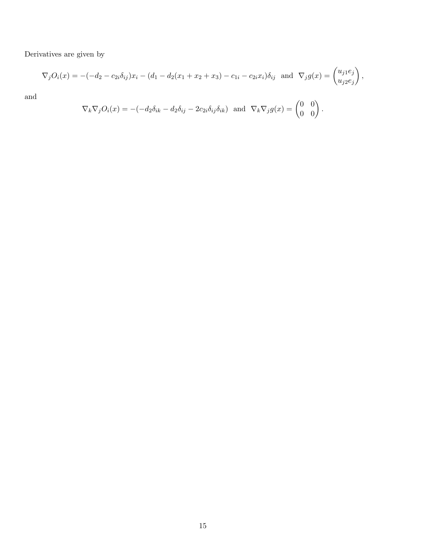Derivatives are given by

$$
\nabla_j O_i(x) = -(-d_2 - c_{2i}\delta_{ij})x_i - (d_1 - d_2(x_1 + x_2 + x_3) - c_{1i} - c_{2i}x_i)\delta_{ij} \text{ and } \nabla_j g(x) = \begin{pmatrix} u_{j1}e_j \\ u_{j2}e_j \end{pmatrix},
$$

$$
\nabla_k \nabla_j O_i(x) = -(-d_2 \delta_{ik} - d_2 \delta_{ij} - 2c_{2i} \delta_{ij} \delta_{ik}) \text{ and } \nabla_k \nabla_j g(x) = \begin{pmatrix} 0 & 0 \\ 0 & 0 \end{pmatrix}.
$$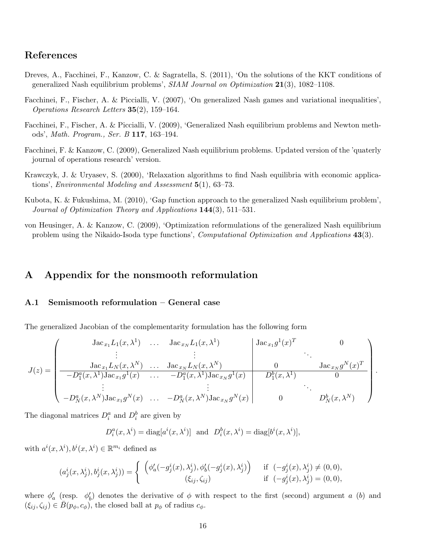### References

- <span id="page-15-2"></span>Dreves, A., Facchinei, F., Kanzow, C. & Sagratella, S. (2011), 'On the solutions of the KKT conditions of generalized Nash equilibrium problems',  $SIAM$  Journal on Optimization  $21(3)$ , 1082–1108.
- <span id="page-15-6"></span>Facchinei, F., Fischer, A. & Piccialli, V. (2007), 'On generalized Nash games and variational inequalities', Operations Research Letters 35(2), 159–164.
- <span id="page-15-0"></span>Facchinei, F., Fischer, A. & Piccialli, V. (2009), 'Generalized Nash equilibrium problems and Newton methods', Math. Program., Ser. B 117, 163–194.
- <span id="page-15-3"></span>Facchinei, F. & Kanzow, C. (2009), Generalized Nash equilibrium problems. Updated version of the 'quaterly journal of operations research' version.
- <span id="page-15-7"></span>Krawczyk, J. & Uryasev, S. (2000), 'Relaxation algorithms to find Nash equilibria with economic applications', *Environmental Modeling and Assessment*  $5(1)$ ,  $63-73$ .
- <span id="page-15-4"></span>Kubota, K. & Fukushima, M. (2010), 'Gap function approach to the generalized Nash equilibrium problem', Journal of Optimization Theory and Applications 144(3), 511–531.
- <span id="page-15-5"></span>von Heusinger, A. & Kanzow, C. (2009), 'Optimization reformulations of the generalized Nash equilibrium problem using the Nikaido-Isoda type functions', *Computational Optimization and Applications* 43(3).

### A Appendix for the nonsmooth reformulation

### <span id="page-15-1"></span>A.1 Semismooth reformulation – General case

The generalized Jacobian of the complementarity formulation has the following form

$$
J(z) = \begin{pmatrix} \text{Jac}_{x_1} L_1(x, \lambda^1) & \dots & \text{Jac}_{x_N} L_1(x, \lambda^1) & & \text{Jac}_{x_1} g^1(x)^T & 0 \\ \vdots & & \vdots & & \vdots \\ \frac{\text{Jac}_{x_1} L_N(x, \lambda^N) & \dots & \text{Jac}_{x_N} L_N(x, \lambda^N) & 0 & \text{Jac}_{x_N} g^N(x)^T}{-D_1^a(x, \lambda^1) \text{Jac}_{x_1} g^1(x) & \dots & -D_1^a(x, \lambda^1) \text{Jac}_{x_N} g^1(x) & D_1^b(x, \lambda^1) & 0 \\ \vdots & & \vdots & & \ddots \\ -D_N^a(x, \lambda^N) \text{Jac}_{x_1} g^N(x) & \dots & -D_N^a(x, \lambda^N) \text{Jac}_{x_N} g^N(x) & 0 & D_N^b(x, \lambda^N) \end{pmatrix}.
$$

The diagonal matrices  $D_i^a$  and  $D_i^b$  are given by

$$
D_i^a(x, \lambda^i) = \text{diag}[a^i(x, \lambda^i)] \text{ and } D_i^b(x, \lambda^i) = \text{diag}[b^i(x, \lambda^i)],
$$

with  $a^i(x, \lambda^i), b^i(x, \lambda^i) \in \mathbb{R}^{m_i}$  defined as

$$
(a_j^i(x, \lambda_j^i), b_j^i(x, \lambda_j^i)) = \begin{cases} \left( \phi_a^{\prime}(-g_j^i(x), \lambda_j^i), \phi_b^{\prime}(-g_j^i(x), \lambda_j^i) \right) & \text{if } (-g_j^i(x), \lambda_j^i) \neq (0, 0), \\ (\xi_{ij}, \zeta_{ij}) & \text{if } (-g_j^i(x), \lambda_j^i) = (0, 0), \end{cases}
$$

where  $\phi'_a$  (resp.  $\phi'_b$ ) denotes the derivative of  $\phi$  with respect to the first (second) argument a (b) and  $(\xi_{ij}, \zeta_{ij}) \in \overline{B}(p_{\phi}, c_{\phi})$ , the closed ball at  $p_{\phi}$  of radius  $c_{\phi}$ .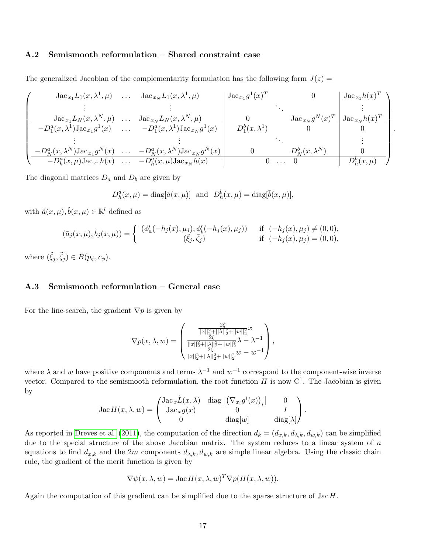### <span id="page-16-0"></span>A.2 Semismooth reformulation – Shared constraint case

The generalized Jacobian of the complementarity formulation has the following form  $J(z)$ 

$$
\begin{pmatrix}\n\text{Jac}_{x_1}L_1(x, \lambda^1, \mu) & \dots & \text{Jac}_{x_N}L_1(x, \lambda^1, \mu) & \text{Jac}_{x_1}g^1(x)^T & 0 \\
\vdots & \vdots & & \vdots \\
\text{Jac}_{x_1}L_N(x, \lambda^N, \mu) & \dots & \text{Jac}_{x_N}L_N(x, \lambda^N, \mu) & 0 & \text{Jac}_{x_N}g^N(x)^T & \text{Jac}_{x_N}h(x)^T \\
-\frac{D_1^a(x, \lambda^1)\text{Jac}_{x_1}g^1(x) & \dots & -D_1^a(x, \lambda^1)\text{Jac}_{x_N}g^1(x) & D_1^b(x, \lambda^1) & 0 & 0 \\
\vdots & & \vdots & & \ddots & \vdots \\
-\frac{D_N^a(x, \lambda^N)\text{Jac}_{x_1}g^N(x) & \dots & -D_N^a(x, \lambda^N)\text{Jac}_{x_N}g^N(x) & 0 & D_N^b(x, \lambda^N) & 0 \\
-\frac{D_n^a(x, \lambda^N)\text{Jac}_{x_1}g^N(x) & \dots & -D_n^a(x, \mu)\text{Jac}_{x_N}g^N(x) & 0 & \dots & 0 & D_N^b(x, \lambda^N) \\
\end{pmatrix}
$$

.

The diagonal matrices  $D_a$  and  $D_b$  are given by

$$
D_h^a(x,\mu) = \text{diag}[\tilde{a}(x,\mu)] \text{ and } D_h^b(x,\mu) = \text{diag}[\tilde{b}(x,\mu)],
$$

with  $\tilde{a}(x,\mu), \tilde{b}(x,\mu) \in \mathbb{R}^l$  defined as

$$
(\tilde{a}_j(x,\mu),\tilde{b}_j(x,\mu)) = \begin{cases} (\phi_a'(-h_j(x),\mu_j),\phi_b'(-h_j(x),\mu_j)) & \text{if } (-h_j(x),\mu_j) \neq (0,0), \\ (\tilde{\xi}_j,\tilde{\zeta}_j) & \text{if } (-h_j(x),\mu_j) = (0,0), \end{cases}
$$

where  $(\tilde{\xi}_j, \tilde{\zeta}_j) \in \bar{B}(p_\phi, c_\phi)$ .

### <span id="page-16-1"></span>A.3 Semismooth reformulation – General case

For the line-search, the gradient  $\nabla p$  is given by

$$
\nabla p(x,\lambda,w) = \begin{pmatrix} \frac{2\zeta}{||x||_2^2 + ||\lambda||_2^2 + ||w||_2^2}x \\ \frac{2\zeta}{||x||_2^2 + ||\lambda||_2^2 + ||w||_2^2}\lambda - \lambda^{-1} \\ \frac{2\zeta}{||x||_2^2 + ||\lambda||_2^2 + ||w||_2^2}w - w^{-1} \end{pmatrix},
$$

where  $\lambda$  and w have positive components and terms  $\lambda^{-1}$  and  $w^{-1}$  correspond to the component-wise inverse vector. Compared to the semismooth reformulation, the root function  $H$  is now  $C<sup>1</sup>$ . The Jacobian is given by

$$
Jac H(x, \lambda, w) = \begin{pmatrix} Jac_x \tilde{L}(x, \lambda) & diag \left[ \left( \nabla_{x_i} g^i(x) \right)_i \right] & 0 \\ Jac_x g(x) & 0 & I \\ 0 & diag[w] & diag[\lambda] \end{pmatrix}.
$$

As reported in [Dreves et al.](#page-15-2) [\(2011\)](#page-15-2), the computation of the direction  $d_k = (d_{x,k}, d_{\lambda,k}, d_{w,k})$  can be simplified due to the special structure of the above Jacobian matrix. The system reduces to a linear system of  $n$ equations to find  $d_{x,k}$  and the 2m components  $d_{\lambda,k}$ ,  $d_{w,k}$  are simple linear algebra. Using the classic chain rule, the gradient of the merit function is given by

$$
\nabla \psi(x, \lambda, w) = \text{Jac}\, H(x, \lambda, w)^T \nabla p(H(x, \lambda, w)).
$$

Again the computation of this gradient can be simplified due to the sparse structure of  $\text{Jac } H$ .